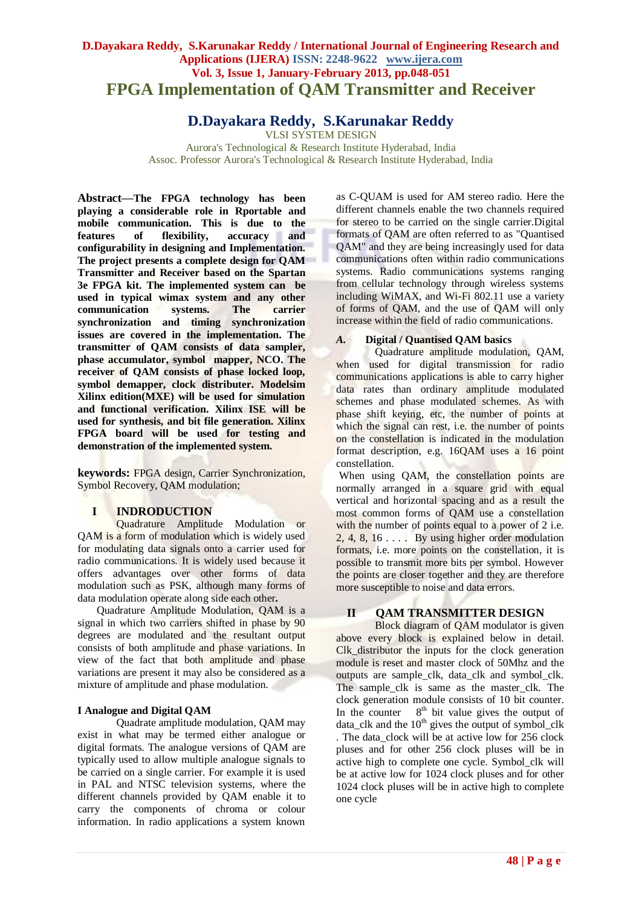# **D.Dayakara Reddy, S.Karunakar Reddy / International Journal of Engineering Research and Applications (IJERA) ISSN: 2248-9622 www.ijera.com Vol. 3, Issue 1, January-February 2013, pp.048-051 FPGA Implementation of QAM Transmitter and Receiver**

# **D.Dayakara Reddy, S.Karunakar Reddy**

VLSI SYSTEM DESIGN

Aurora's Technological & Research Institute Hyderabad, India Assoc. Professor Aurora's Technological & Research Institute Hyderabad, India

**Abstract—The FPGA technology has been playing a considerable role in Rportable and mobile communication. This is due to the features of flexibility, accuracy and configurability in designing and Implementation. The project presents a complete design for QAM Transmitter and Receiver based on the Spartan 3e FPGA kit. The implemented system can be used in typical wimax system and any other communication systems. The carrier synchronization and timing synchronization issues are covered in the implementation. The transmitter of QAM consists of data sampler, phase accumulator, symbol mapper, NCO. The receiver of QAM consists of phase locked loop, symbol demapper, clock distributer. Modelsim Xilinx edition(MXE) will be used for simulation and functional verification. Xilinx ISE will be used for synthesis, and bit file generation. Xilinx FPGA board will be used for testing and demonstration of the implemented system.**

**keywords:** FPGA design, Carrier Synchronization, Symbol Recovery, QAM modulation;

## **I INDRODUCTION**

 Quadrature Amplitude Modulation or QAM is a form of modulation which is widely used for modulating data signals onto a carrier used for radio communications. It is widely used because it offers advantages over other forms of data modulation such as PSK, although many forms of data modulation operate along side each other*.*

 Quadrature Amplitude Modulation, QAM is a signal in which two carriers shifted in phase by 90 degrees are modulated and the resultant output consists of both amplitude and phase variations. In view of the fact that both amplitude and phase variations are present it may also be considered as a mixture of amplitude and phase modulation.

#### **I Analogue and Digital QAM**

Quadrate amplitude modulation, QAM may exist in what may be termed either analogue or digital formats. The analogue versions of QAM are typically used to allow multiple analogue signals to be carried on a single carrier. For example it is used in PAL and NTSC television systems, where the different channels provided by QAM enable it to carry the components of chroma or colour information. In radio applications a system known as C-QUAM is used for AM stereo radio. Here the different channels enable the two channels required for stereo to be carried on the single carrier.Digital formats of QAM are often referred to as "Quantised QAM" and they are being increasingly used for data communications often within radio communications systems. Radio communications systems ranging from cellular technology through wireless systems including WiMAX, and Wi-Fi 802.11 use a variety of forms of QAM, and the use of QAM will only increase within the field of radio communications.

#### *A.* **Digital / Quantised QAM basics**

Quadrature amplitude modulation, QAM, when used for digital transmission for radio communications applications is able to carry higher data rates than ordinary amplitude modulated schemes and phase modulated schemes. As with phase shift keying, etc, the number of points at which the signal can rest, i.e. the number of points on the constellation is indicated in the modulation format description, e.g. 16QAM uses a 16 point constellation.

When using QAM, the constellation points are normally arranged in a square grid with equal vertical and horizontal spacing and as a result the most common forms of QAM use a constellation with the number of points equal to a power of 2 i.e. 2, 4, 8, 16  $\dots$  By using higher order modulation formats, i.e. more points on the constellation, it is possible to transmit more bits per symbol. However the points are closer together and they are therefore more susceptible to noise and data errors.

## **II QAM TRANSMITTER DESIGN**

Block diagram of QAM modulator is given above every block is explained below in detail. Clk\_distributor the inputs for the clock generation module is reset and master clock of 50Mhz and the outputs are sample\_clk, data\_clk and symbol\_clk. The sample\_clk is same as the master clk. The clock generation module consists of 10 bit counter. In the counter  $8<sup>th</sup>$  bit value gives the output of data\_clk and the  $10<sup>th</sup>$  gives the output of symbol\_clk . The data clock will be at active low for 256 clock pluses and for other 256 clock pluses will be in active high to complete one cycle. Symbol\_clk will be at active low for 1024 clock pluses and for other 1024 clock pluses will be in active high to complete one cycle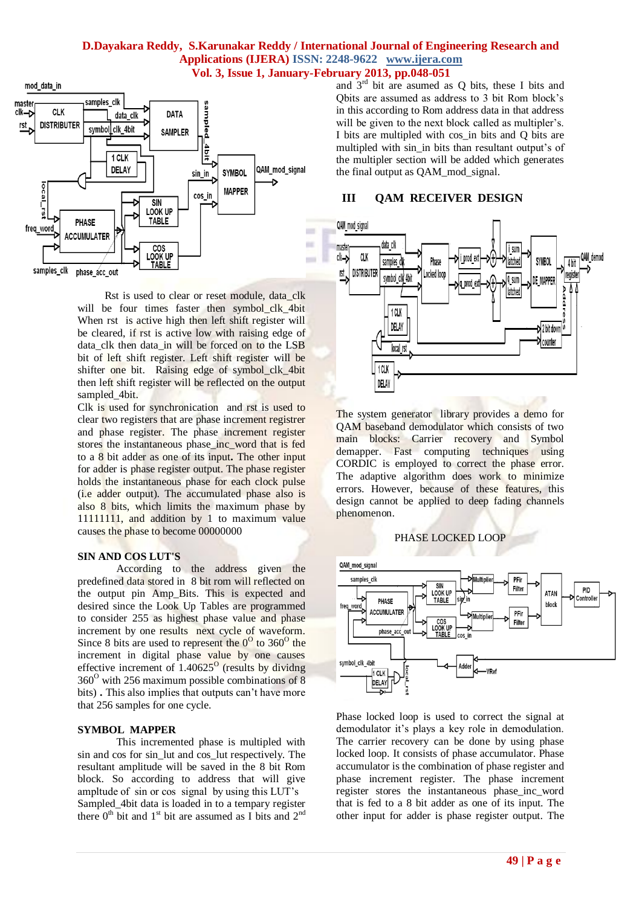#### **D.Dayakara Reddy, S.Karunakar Reddy / International Journal of Engineering Research and Applications (IJERA) ISSN: 2248-9622 www.ijera.com Vol. 3, Issue 1, January-February 2013, pp.048-051**



 Rst is used to clear or reset module, data\_clk will be four times faster then symbol\_clk\_4bit When rst is active high then left shift register will be cleared, if rst is active low with raising edge of data\_clk then data\_in will be forced on to the LSB bit of left shift register. Left shift register will be shifter one bit. Raising edge of symbol\_clk\_4bit then left shift register will be reflected on the output sampled 4bit.

Clk is used for synchronication and rst is used to clear two registers that are phase increment registrer and phase register. The phase increment register stores the instantaneous phase\_inc\_word that is fed to a 8 bit adder as one of its input**.** The other input for adder is phase register output. The phase register holds the instantaneous phase for each clock pulse (i.e adder output). The accumulated phase also is also 8 bits, which limits the maximum phase by 11111111, and addition by 1 to maximum value causes the phase to become 00000000

#### **SIN AND COS LUT'S**

According to the address given the predefined data stored in 8 bit rom will reflected on the output pin Amp\_Bits. This is expected and desired since the Look Up Tables are programmed to consider 255 as highest phase value and phase increment by one results next cycle of waveform. Since 8 bits are used to represent the  $0^{\circ}$  to 360 $^{\circ}$  the increment in digital phase value by one causes effective increment of  $1.40625^{\circ}$  (results by dividng  $360^{\circ}$  with 256 maximum possible combinations of 8 bits) **.** This also implies that outputs can't have more that 256 samples for one cycle.

#### **SYMBOL MAPPER**

This incremented phase is multipled with sin and cos for sin\_lut and cos\_lut respectively. The resultant amplitude will be saved in the 8 bit Rom block. So according to address that will give ampltude of sin or cos signal by using this LUT's Sampled\_4bit data is loaded in to a tempary register there  $0<sup>th</sup>$  bit and  $1<sup>st</sup>$  bit are assumed as I bits and  $2<sup>nd</sup>$ 

and  $3<sup>rd</sup>$  bit are asumed as Q bits, these I bits and Qbits are assumed as address to 3 bit Rom block's in this according to Rom address data in that address will be given to the next block called as multipler's. I bits are multipled with cos\_in bits and Q bits are multipled with sin in bits than resultant output's of the multipler section will be added which generates the final output as QAM\_mod\_signal.

### **III QAM RECEIVER DESIGN**



The system generator library provides a demo for QAM baseband demodulator which consists of two main blocks: Carrier recovery and Symbol demapper. Fast computing techniques using CORDIC is employed to correct the phase error. The adaptive algorithm does work to minimize errors. However, because of these features, this design cannot be applied to deep fading channels phenomenon.



QAM\_mod\_signal samples\_clk Multipli PFir SII Filter PID LOOK UP **ATAN** Controlle TARL F PHASE block freq\_word **ACCUMULATER** PFir Multipli Filter phase acc ou symbol\_clk\_4bit VRet 1 CLK DELAY

Phase locked loop is used to correct the signal at demodulator it's plays a key role in demodulation. The carrier recovery can be done by using phase locked loop. It consists of phase accumulator. Phase accumulator is the combination of phase register and phase increment register. The phase increment register stores the instantaneous phase\_inc\_word that is fed to a 8 bit adder as one of its input. The other input for adder is phase register output. The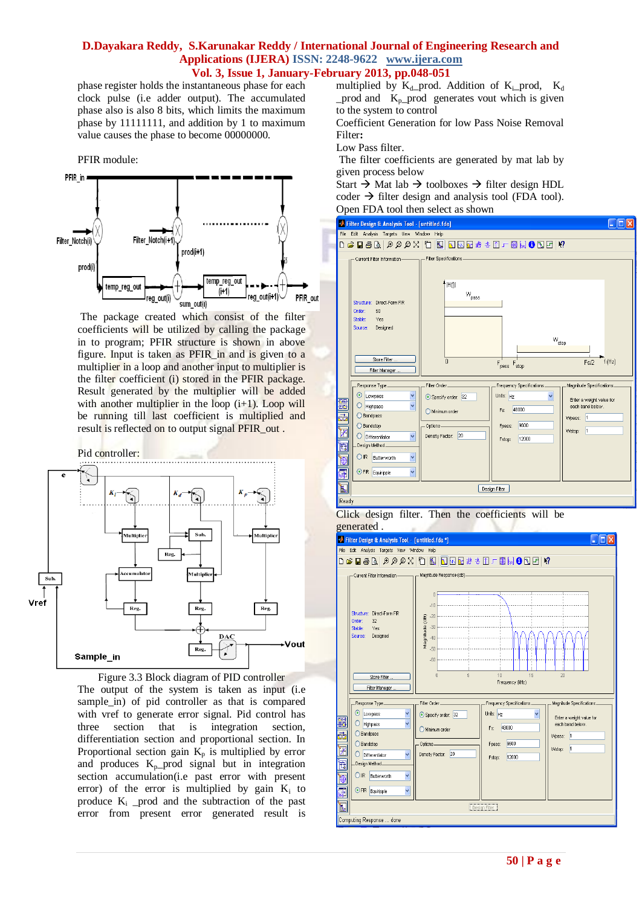#### **D.Dayakara Reddy, S.Karunakar Reddy / International Journal of Engineering Research and Applications (IJERA) ISSN: 2248-9622 www.ijera.com Vol. 3, Issue 1, January-February 2013, pp.048-051**

phase register holds the instantaneous phase for each clock pulse (i.e adder output). The accumulated phase also is also 8 bits, which limits the maximum phase by 11111111, and addition by 1 to maximum value causes the phase to become 00000000.

PFIR module:



The package created which consist of the filter coefficients will be utilized by calling the package in to program; PFIR structure is shown in above figure. Input is taken as PFIR\_in and is given to a multiplier in a loop and another input to multiplier is the filter coefficient (i) stored in the PFIR package. Result generated by the multiplier will be added with another multiplier in the loop  $(i+1)$ . Loop will be running till last coefficient is multiplied and result is reflected on to output signal PFIR out.



Figure 3.3 Block diagram of PID controller

The output of the system is taken as input (i.e sample\_in) of pid controller as that is compared with vref to generate error signal. Pid control has three section that is integration section, differentiation section and proportional section. In Proportional section gain  $K_p$  is multiplied by error and produces  $K_{p}$  prod signal but in integration section accumulation(i.e past error with present error) of the error is multiplied by gain  $K_i$  to produce  $K_i$  \_prod and the subtraction of the past error from present error generated result is

multiplied by  $K_d$ -prod. Addition of  $K_i$ -prod,  $K_d$  $\perp$ prod and  $K_{p\perp}$ prod generates vout which is given to the system to control

Coefficient Generation for low Pass Noise Removal Filter**:**

Low Pass filter.

 $\overline{\bigcirc}$  IR Butterworth

● FIR Equiripple

Computing Response ... done

 $\mathbb F$ 

 $\checkmark$ 

The filter coefficients are generated by mat lab by given process below

Start  $\rightarrow$  Mat lab  $\rightarrow$  toolboxes  $\rightarrow$  filter design HDL coder  $\rightarrow$  filter design and analysis tool (FDA tool). Open FDA tool then select as shown





Design Fiter